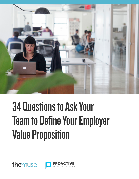

# 34 Questions to Ask Your Team to Define Your Employer Value Proposition

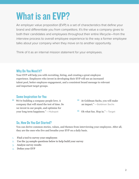# What is an EVP?

An employer value proposition (EVP) is a set of characteristics that define your brand and diferentiate you from competitors. It's the value a company gives to both their candidates and employees throughout their entire lifecycle—from the interview process to overall employee experience to the way a former employee talks about your company when they move on to another opportunity.

Think of it as an internal mission statement for your employees.

### Why Do You Need It?

Your EVP will help you with recruiting, hiring, and creating a great employee experience. Employers who invest in developing their EVP will see an increased talent pool, better employee engagement, and a consistent brand message to relevant and important target groups.

### Some Inspiration for You

- " We're building a company people love. A company that will stand the test of time. So we invest in our people, and optimize for your long term happiness."**—Hubspot**
- <sup>66</sup> At Goldman Sachs, you will make an impact."**—Goldman Sachs**
- " Oh what fun. Hop in."**—Target**

## So, How Do You Get Started?

You can derive common stories, values, and themes from interviewing your employees. After all, they are the ones who live and breathe your EVP on a daily basis.

- 1. Find a tool to survey your employees
- 2. Use the 34 sample questions below to help build your survey
- 3. Analyze survey results
- 4. Defne your EVP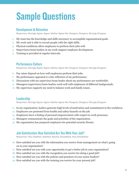# Sample Questions

#### Development & Retention

Responses: Strongly Agree, Agree, Neither Agree Nor Disagree, Disagree, Strongly Disagree

- 1. My team has the knowledge and skills necessary to accomplish organizational goals.
- 2. My work unit is able to recruit people with the right skills.
- 3. Physical conditions allow employees to perform their jobs well.
- 4. Supervisors/team leaders in my work support employee development.
- 5. Training is provided at regular intervals.

#### Performance Culture

Responses: Strongly Agree, Agree, Neither Agree Nor Disagree, Disagree, Strongly Disagree

- 6. Pay raises depend on how well employees perform their jobs.
- 7. My performance appraisal is a fair refection of my performance.
- 8. Discussions with my supervisor/team leader about my performance are worthwhile.
- 9. Managers/supervisors/team leaders work well with employees of diferent backgrounds.
- 10. My supervisor supports my need to balance work and family issues.

#### Leadership

Responses: Strongly Agree, Agree, Neither Agree Nor Disagree, Disagree, Strongly Disagree

- 11. In my organization, leaders generate high levels of motivation and commitment in the workforce.
- 12. Employees are protected from health and safety hazards on the job.
- 13. Employees have a feeling of personal empowerment with respect to work processes.
- 14. Managers communicate the goals and priorities of the organization.
- 15. My organization has prepared employees for potential security threats.

#### Job Satisfaction: How Satisfied Are You With Your Job?

Responses: Very Satisfied, Satisfied, Neutral, Dissatisfied, Very Dissatisfied

- 16. How satisfed are you with the information you receive from management on what's going on in your organization?
- 17. How satisfed are you with your opportunity to get a better job in your organization?
- 18. How satisfed are you with the recognition you receive for doing a good job?
- 19. How satisfed are you with the policies and practices of your senior leaders?
- 20. How satisfed are you with the training you receive for your present job?